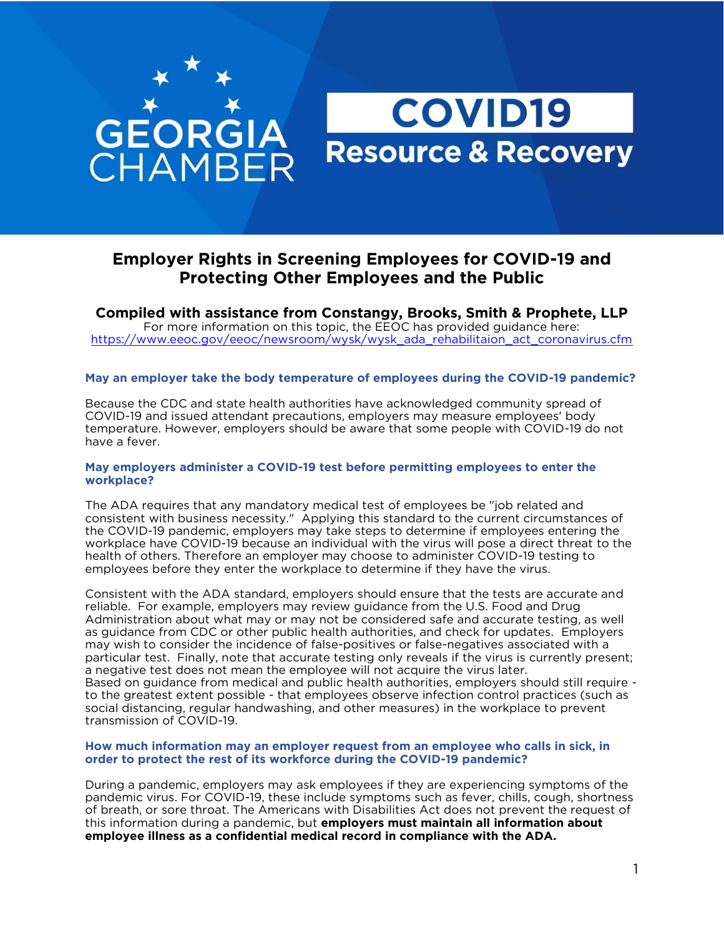# **GEORGIA**<br>CHAMBER **Resource & Recovery**

### **Employer Rights in Screening Employees for COVID-19 and Protecting Other Employees and the Public**

**COVID19** 

**Compiled with assistance from Constangy, Brooks, Smith & Prophete, LLP**<br>For more information on this topic, the EEOC has provided guidance here: https://www.eeoc.gov/eeoc/newsroom/wysk/wysk ada rehabilitaion act coronavirus.cfm https://www.eeoc.gov/eeoc/newsroom/wysikada.cheedecada.cheedecada.cfm

### **May an employer take the body temperature of employees during the COVID-19 pandemic?**

COVID-19 and issued attendant precautions, employers may measure employees' body<br>temperature. However, employers should be aware that some people with COVID-19 do temperature. However, employers should be aware that some people with COVID-19 do not have a fever.

#### **May employers administer a COVID-19 test before permitting employees to enter the workplace?**

The ADA requires that any mandatory medical test of employees be "job related and consistent with business necessity." Applying this standard to the current circumstances of the COVID-19 pandemic, employers may take steps to determine if employees entering the workplace have COVID-19 because an individual with the virus will pose a direct threat to the health of others. Therefore an employer may choose to administer COVID-19 testing to employees before they enter the workplace to determine if they have the virus. employees before they enter the workplace to determine if they have the virus.

Consistent with the ADA standard, employer[s should en](https://www.fda.gov/medical-devices/emergency-situations-medical-devices/faqs-diagnostic-testing-sars-cov-2)sure that the tests are accurate and reliable. For example, employers may review guidance from the U.S. Food and Drug Administration about what may or may not be considered safe and accurate testing, as well as guidance from CDC or other public health authorities, and check for updates. Employers may wish to consider the incidence of false-positives or false-negatives associated with a particular test. Finally, note that accurate testing only reveals if the virus is currently present; a negative test does not mean the employee will not acquire the virus later. Based on guidance from medical and public health authorities, employers should still require to the greatest extent possible - that employees observe infection control practices (such as social distancing, regular handwashing, and other measures) in the workplace to prevent transmission of COVID-19. transmission of COVID-19.

#### **How much information may an employer request from an employee who calls in sick, in order to protect the rest of its workforce during the COVID-19 pandemic?**

During a pandemic, employers may ask employees if they are experiencing symptoms of the pandemic virus. For COVID-19, these include symptoms such as fever, chills, cough, shortness of breath, or sore throat. The Americans with Disabilities Act does not prevent the request of this information during a pandemic, but employers must maintain all information about employee illness as a confidential medical record in compliance with the ADA. **employee illness as a confidential medical record in compliance with the ADA.**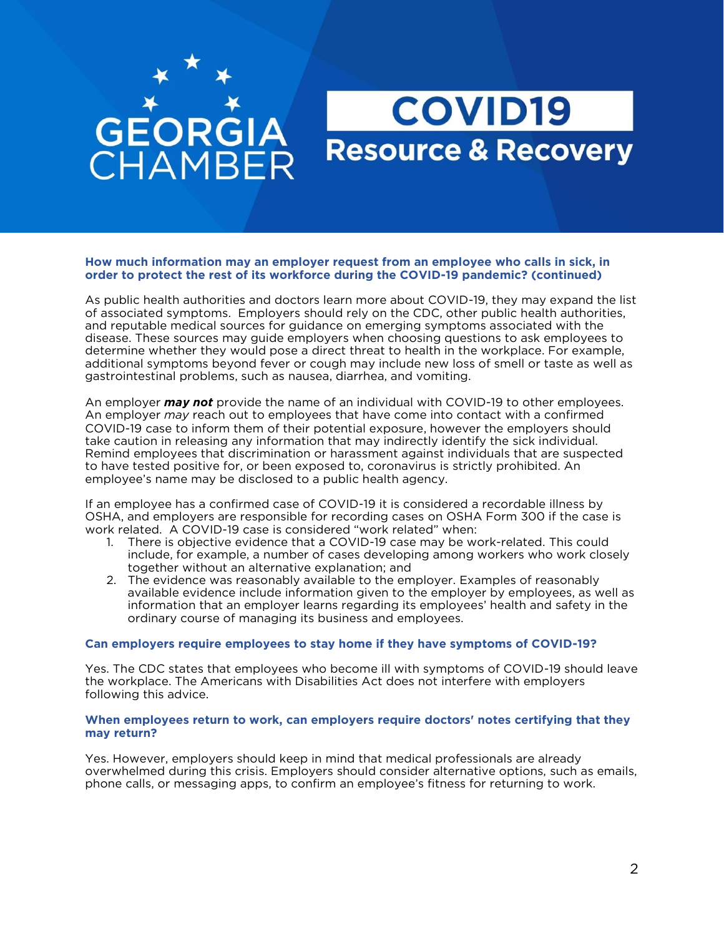# **GEORGIA HAMBER**

## **COVID19 Resource & Recovery**

#### How much information may an emplover request from an emplovee who calls in sick, in order to protect the rest of its workforce during the COVID-19 pandemic? (continued) **order to protect the rest of its workforce during the COVID-19 pandemic? (continued)**

As public health authorities and doctors learn more about COVID-19, they may expand the list of associated symptoms. Employers should rely on the CDC, other public health authorities, and reputable medical sources for guidance on emerging symptoms associated with the disease. These sources may guide employers when choosing questions to ask employees to determine whether they would pose a direct threat to health in the workplace. For example, additional symptoms beyond fever or cough may include new loss of smell or taste as well as  $\alpha$  astrointestinal problems, such as nausea, diarrhea, and vomiting.  $\mathcal{G}$  as a naute that as nausely such as nausely such as nausely  $\mathcal{G}$ .

An employer *may not* provide the name of an individual with COVID-19 to other employees.<br>An employer *may* reach out to employees that have come into contact with a confirmed COVID-19 case to inform them of their potential exposure, however the employers should take caution in releasing any information that may indirectly identify the sick individual. Remind employees that discrimination or harassment against individuals that are suspected to have tested positive for, or been exposed to, coronavirus is strictly prohibited. An  $t_{\text{m}}$  tests have tested positive for a public health agency. employee's name may be disclosed to a public health agency.

If an employee has a confirmed case of COVID-19 it is considered a recordable illness by<br>OSHA, and employers are responsible for recording cases on OSHA Form 300 if the case is work related. A COVID-19 case is considered "work related" when:

- 1. There is objective evidence that a COVID-19 case may be work-related. This could include, for example, a number of cases developing among workers who work closely together without an alternative explanation; and
- 2. The evidence was reasonably available to the employer. Examples of reasonably available evidence include information given to the employer by employees, as well as information that an employer learns regarding its employees' health and safety in the ordinary course of managing its business and employees. ordinary course of managing its business and employees.

#### **Can employers require employees to stay home if they have symptoms of COVID-19?**

Yes. The CDC states that employees who become ill with symptoms of COVID-19 should leave the workplace. The Americans with Disabilities Act does not interfere with employers following this advice. following this advice.

#### **When employees return to work, can employers require doctors' notes certifying that they may return?**

Yes. However, employers should keep in mind that medical professionals are already<br>overwhelmed during this crisis. Employers should consider alternative options, such as emails, phone calls, or messaging apps, to confirm an employee's fitness for returning to work phone calls, or messaging apps, to confirm an employee's fitness for returning to work.